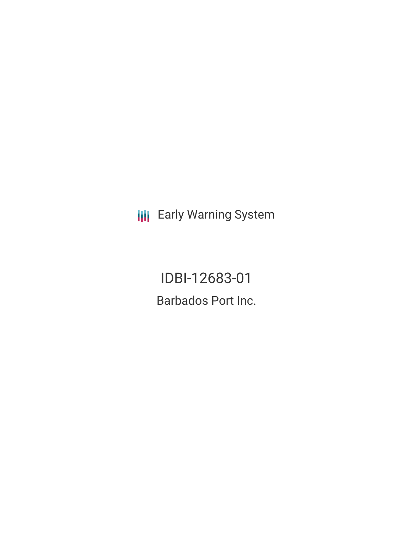**III** Early Warning System

IDBI-12683-01 Barbados Port Inc.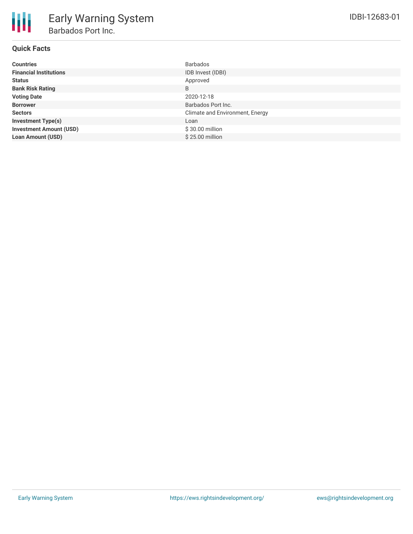# **Quick Facts**

| <b>Countries</b>               | <b>Barbados</b>                 |
|--------------------------------|---------------------------------|
| <b>Financial Institutions</b>  | IDB Invest (IDBI)               |
| <b>Status</b>                  | Approved                        |
| <b>Bank Risk Rating</b>        | B                               |
| <b>Voting Date</b>             | 2020-12-18                      |
| <b>Borrower</b>                | Barbados Port Inc.              |
| <b>Sectors</b>                 | Climate and Environment, Energy |
| <b>Investment Type(s)</b>      | Loan                            |
| <b>Investment Amount (USD)</b> | $$30.00$ million                |
| <b>Loan Amount (USD)</b>       | \$25.00 million                 |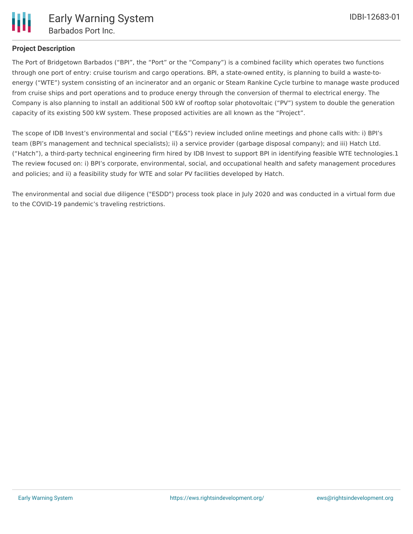

# **Project Description**

The Port of Bridgetown Barbados ("BPI", the "Port" or the "Company") is a combined facility which operates two functions through one port of entry: cruise tourism and cargo operations. BPI, a state-owned entity, is planning to build a waste-toenergy ("WTE") system consisting of an incinerator and an organic or Steam Rankine Cycle turbine to manage waste produced from cruise ships and port operations and to produce energy through the conversion of thermal to electrical energy. The Company is also planning to install an additional 500 kW of rooftop solar photovoltaic ("PV") system to double the generation capacity of its existing 500 kW system. These proposed activities are all known as the "Project".

The scope of IDB Invest's environmental and social ("E&S") review included online meetings and phone calls with: i) BPI's team (BPI's management and technical specialists); ii) a service provider (garbage disposal company); and iii) Hatch Ltd. ("Hatch"), a third-party technical engineering firm hired by IDB Invest to support BPI in identifying feasible WTE technologies.1 The review focused on: i) BPI's corporate, environmental, social, and occupational health and safety management procedures and policies; and ii) a feasibility study for WTE and solar PV facilities developed by Hatch.

The environmental and social due diligence ("ESDD") process took place in July 2020 and was conducted in a virtual form due to the COVID-19 pandemic's traveling restrictions.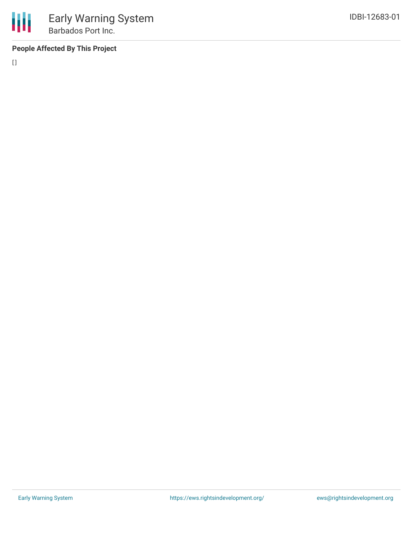# **People Affected By This Project**

[]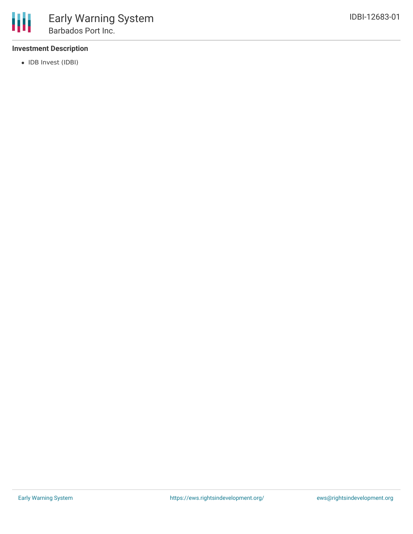# **Investment Description**

• IDB Invest (IDBI)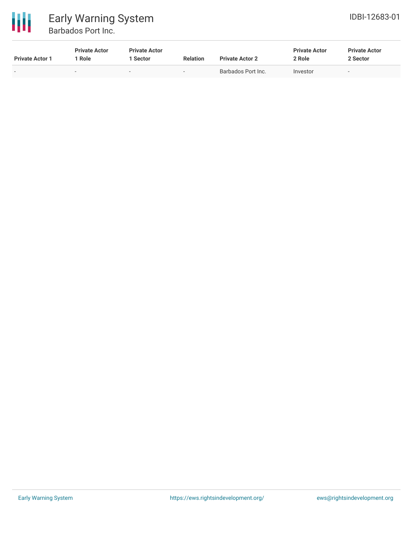

# Early Warning System Barbados Port Inc.

| <b>Private Actor 1</b>   | <b>Private Actor</b><br>1 Role | <b>Private Actor</b><br>Sector | <b>Relation</b> | <b>Private Actor 2</b> | <b>Private Actor</b><br>2 Role | <b>Private Actor</b><br>2 Sector |
|--------------------------|--------------------------------|--------------------------------|-----------------|------------------------|--------------------------------|----------------------------------|
| $\overline{\phantom{0}}$ | $\sim$                         | $\overline{\phantom{a}}$       |                 | Barbados Port Inc.     | Investor                       |                                  |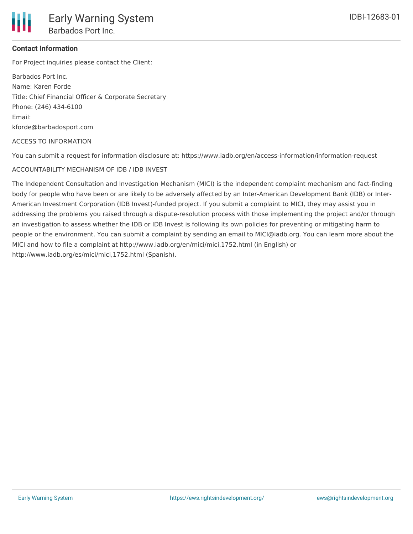

# **Contact Information**

For Project inquiries please contact the Client:

Barbados Port Inc. Name: Karen Forde Title: Chief Financial Officer & Corporate Secretary Phone: (246) 434-6100 Email: kforde@barbadosport.com

#### ACCESS TO INFORMATION

You can submit a request for information disclosure at: https://www.iadb.org/en/access-information/information-request

### ACCOUNTABILITY MECHANISM OF IDB / IDB INVEST

The Independent Consultation and Investigation Mechanism (MICI) is the independent complaint mechanism and fact-finding body for people who have been or are likely to be adversely affected by an Inter-American Development Bank (IDB) or Inter-American Investment Corporation (IDB Invest)-funded project. If you submit a complaint to MICI, they may assist you in addressing the problems you raised through a dispute-resolution process with those implementing the project and/or through an investigation to assess whether the IDB or IDB Invest is following its own policies for preventing or mitigating harm to people or the environment. You can submit a complaint by sending an email to MICI@iadb.org. You can learn more about the MICI and how to file a complaint at http://www.iadb.org/en/mici/mici,1752.html (in English) or http://www.iadb.org/es/mici/mici,1752.html (Spanish).